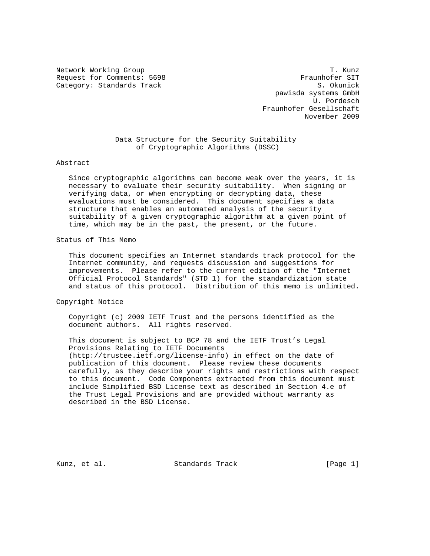Request for Comments: 5698 Fraunhofer SIT Category: Standards Track S. Okunick

Network Working Group T. Kunz pawisda systems GmbH U. Pordesch Fraunhofer Gesellschaft November 2009

> Data Structure for the Security Suitability of Cryptographic Algorithms (DSSC)

Abstract

 Since cryptographic algorithms can become weak over the years, it is necessary to evaluate their security suitability. When signing or verifying data, or when encrypting or decrypting data, these evaluations must be considered. This document specifies a data structure that enables an automated analysis of the security suitability of a given cryptographic algorithm at a given point of time, which may be in the past, the present, or the future.

Status of This Memo

 This document specifies an Internet standards track protocol for the Internet community, and requests discussion and suggestions for improvements. Please refer to the current edition of the "Internet Official Protocol Standards" (STD 1) for the standardization state and status of this protocol. Distribution of this memo is unlimited.

Copyright Notice

 Copyright (c) 2009 IETF Trust and the persons identified as the document authors. All rights reserved.

 This document is subject to BCP 78 and the IETF Trust's Legal Provisions Relating to IETF Documents (http://trustee.ietf.org/license-info) in effect on the date of publication of this document. Please review these documents carefully, as they describe your rights and restrictions with respect to this document. Code Components extracted from this document must include Simplified BSD License text as described in Section 4.e of the Trust Legal Provisions and are provided without warranty as described in the BSD License.

Kunz, et al. Standards Track [Page 1]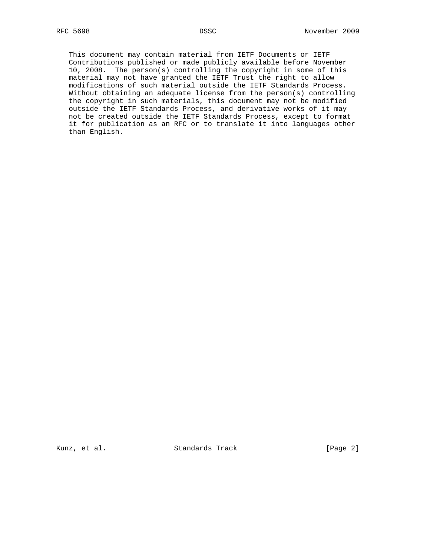This document may contain material from IETF Documents or IETF Contributions published or made publicly available before November 10, 2008. The person(s) controlling the copyright in some of this material may not have granted the IETF Trust the right to allow modifications of such material outside the IETF Standards Process. Without obtaining an adequate license from the person(s) controlling the copyright in such materials, this document may not be modified outside the IETF Standards Process, and derivative works of it may not be created outside the IETF Standards Process, except to format it for publication as an RFC or to translate it into languages other than English.

Kunz, et al. Standards Track [Page 2]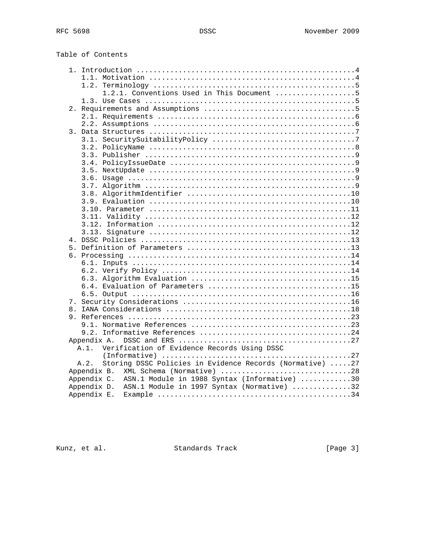Table of Contents

| 1.2.1. Conventions Used in This Document 5                       |  |
|------------------------------------------------------------------|--|
|                                                                  |  |
|                                                                  |  |
|                                                                  |  |
|                                                                  |  |
|                                                                  |  |
|                                                                  |  |
|                                                                  |  |
|                                                                  |  |
|                                                                  |  |
|                                                                  |  |
|                                                                  |  |
|                                                                  |  |
|                                                                  |  |
|                                                                  |  |
|                                                                  |  |
|                                                                  |  |
|                                                                  |  |
|                                                                  |  |
|                                                                  |  |
|                                                                  |  |
|                                                                  |  |
|                                                                  |  |
|                                                                  |  |
|                                                                  |  |
|                                                                  |  |
|                                                                  |  |
|                                                                  |  |
|                                                                  |  |
|                                                                  |  |
|                                                                  |  |
|                                                                  |  |
|                                                                  |  |
|                                                                  |  |
| Verification of Evidence Records Using DSSC<br>$A.1$ .           |  |
|                                                                  |  |
| Storing DSSC Policies in Evidence Records (Normative) 27<br>A.2. |  |
| Appendix B. XML Schema (Normative) 28                            |  |
| Appendix C. ASN.1 Module in 1988 Syntax (Informative) 30         |  |
| ASN.1 Module in 1997 Syntax (Normative) 32<br>Appendix D.        |  |
| Appendix E.                                                      |  |

Kunz, et al. Standards Track [Page 3]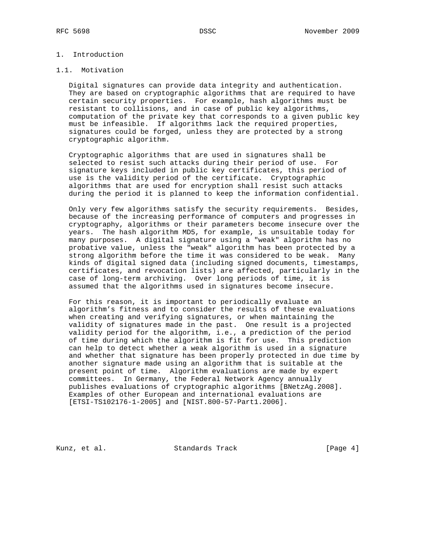# 1. Introduction

#### 1.1. Motivation

 Digital signatures can provide data integrity and authentication. They are based on cryptographic algorithms that are required to have certain security properties. For example, hash algorithms must be resistant to collisions, and in case of public key algorithms, computation of the private key that corresponds to a given public key must be infeasible. If algorithms lack the required properties, signatures could be forged, unless they are protected by a strong cryptographic algorithm.

 Cryptographic algorithms that are used in signatures shall be selected to resist such attacks during their period of use. For signature keys included in public key certificates, this period of use is the validity period of the certificate. Cryptographic algorithms that are used for encryption shall resist such attacks during the period it is planned to keep the information confidential.

 Only very few algorithms satisfy the security requirements. Besides, because of the increasing performance of computers and progresses in cryptography, algorithms or their parameters become insecure over the years. The hash algorithm MD5, for example, is unsuitable today for many purposes. A digital signature using a "weak" algorithm has no probative value, unless the "weak" algorithm has been protected by a strong algorithm before the time it was considered to be weak. Many kinds of digital signed data (including signed documents, timestamps, certificates, and revocation lists) are affected, particularly in the case of long-term archiving. Over long periods of time, it is assumed that the algorithms used in signatures become insecure.

 For this reason, it is important to periodically evaluate an algorithm's fitness and to consider the results of these evaluations when creating and verifying signatures, or when maintaining the validity of signatures made in the past. One result is a projected validity period for the algorithm, i.e., a prediction of the period of time during which the algorithm is fit for use. This prediction can help to detect whether a weak algorithm is used in a signature and whether that signature has been properly protected in due time by another signature made using an algorithm that is suitable at the present point of time. Algorithm evaluations are made by expert committees. In Germany, the Federal Network Agency annually publishes evaluations of cryptographic algorithms [BNetzAg.2008]. Examples of other European and international evaluations are [ETSI-TS102176-1-2005] and [NIST.800-57-Part1.2006].

Kunz, et al. Standards Track [Page 4]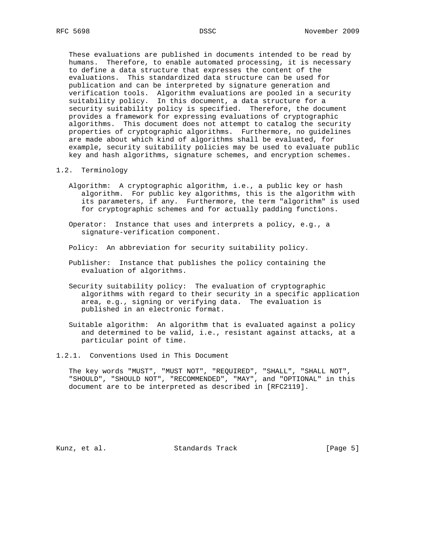These evaluations are published in documents intended to be read by humans. Therefore, to enable automated processing, it is necessary to define a data structure that expresses the content of the evaluations. This standardized data structure can be used for publication and can be interpreted by signature generation and verification tools. Algorithm evaluations are pooled in a security suitability policy. In this document, a data structure for a security suitability policy is specified. Therefore, the document provides a framework for expressing evaluations of cryptographic algorithms. This document does not attempt to catalog the security properties of cryptographic algorithms. Furthermore, no guidelines are made about which kind of algorithms shall be evaluated, for example, security suitability policies may be used to evaluate public key and hash algorithms, signature schemes, and encryption schemes.

- 1.2. Terminology
	- Algorithm: A cryptographic algorithm, i.e., a public key or hash algorithm. For public key algorithms, this is the algorithm with its parameters, if any. Furthermore, the term "algorithm" is used for cryptographic schemes and for actually padding functions.
	- Operator: Instance that uses and interprets a policy, e.g., a signature-verification component.
	- Policy: An abbreviation for security suitability policy.
	- Publisher: Instance that publishes the policy containing the evaluation of algorithms.
	- Security suitability policy: The evaluation of cryptographic algorithms with regard to their security in a specific application area, e.g., signing or verifying data. The evaluation is published in an electronic format.
	- Suitable algorithm: An algorithm that is evaluated against a policy and determined to be valid, i.e., resistant against attacks, at a particular point of time.
- 1.2.1. Conventions Used in This Document

 The key words "MUST", "MUST NOT", "REQUIRED", "SHALL", "SHALL NOT", "SHOULD", "SHOULD NOT", "RECOMMENDED", "MAY", and "OPTIONAL" in this document are to be interpreted as described in [RFC2119].

Kunz, et al. Standards Track [Page 5]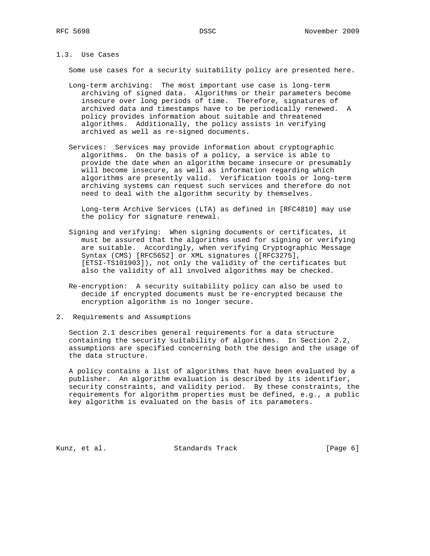# 1.3. Use Cases

Some use cases for a security suitability policy are presented here.

- Long-term archiving: The most important use case is long-term archiving of signed data. Algorithms or their parameters become insecure over long periods of time. Therefore, signatures of archived data and timestamps have to be periodically renewed. A policy provides information about suitable and threatened algorithms. Additionally, the policy assists in verifying archived as well as re-signed documents.
- Services: Services may provide information about cryptographic algorithms. On the basis of a policy, a service is able to provide the date when an algorithm became insecure or presumably will become insecure, as well as information regarding which algorithms are presently valid. Verification tools or long-term archiving systems can request such services and therefore do not need to deal with the algorithm security by themselves.

 Long-term Archive Services (LTA) as defined in [RFC4810] may use the policy for signature renewal.

- Signing and verifying: When signing documents or certificates, it must be assured that the algorithms used for signing or verifying are suitable. Accordingly, when verifying Cryptographic Message Syntax (CMS) [RFC5652] or XML signatures ([RFC3275], [ETSI-TS101903]), not only the validity of the certificates but also the validity of all involved algorithms may be checked.
- Re-encryption: A security suitability policy can also be used to decide if encrypted documents must be re-encrypted because the encryption algorithm is no longer secure.
- 2. Requirements and Assumptions

 Section 2.1 describes general requirements for a data structure containing the security suitability of algorithms. In Section 2.2, assumptions are specified concerning both the design and the usage of the data structure.

 A policy contains a list of algorithms that have been evaluated by a publisher. An algorithm evaluation is described by its identifier, security constraints, and validity period. By these constraints, the requirements for algorithm properties must be defined, e.g., a public key algorithm is evaluated on the basis of its parameters.

Kunz, et al. Standards Track [Page 6]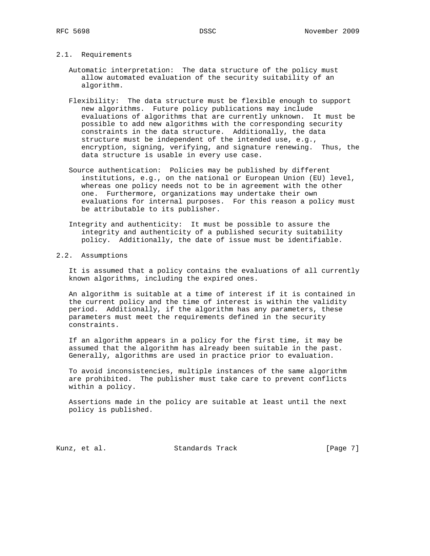2.1. Requirements

 Automatic interpretation: The data structure of the policy must allow automated evaluation of the security suitability of an algorithm.

- Flexibility: The data structure must be flexible enough to support new algorithms. Future policy publications may include evaluations of algorithms that are currently unknown. It must be possible to add new algorithms with the corresponding security constraints in the data structure. Additionally, the data structure must be independent of the intended use, e.g., encryption, signing, verifying, and signature renewing. Thus, the data structure is usable in every use case.
- Source authentication: Policies may be published by different institutions, e.g., on the national or European Union (EU) level, whereas one policy needs not to be in agreement with the other one. Furthermore, organizations may undertake their own evaluations for internal purposes. For this reason a policy must be attributable to its publisher.
- Integrity and authenticity: It must be possible to assure the integrity and authenticity of a published security suitability policy. Additionally, the date of issue must be identifiable.

# 2.2. Assumptions

 It is assumed that a policy contains the evaluations of all currently known algorithms, including the expired ones.

 An algorithm is suitable at a time of interest if it is contained in the current policy and the time of interest is within the validity period. Additionally, if the algorithm has any parameters, these parameters must meet the requirements defined in the security constraints.

 If an algorithm appears in a policy for the first time, it may be assumed that the algorithm has already been suitable in the past. Generally, algorithms are used in practice prior to evaluation.

 To avoid inconsistencies, multiple instances of the same algorithm are prohibited. The publisher must take care to prevent conflicts within a policy.

 Assertions made in the policy are suitable at least until the next policy is published.

Kunz, et al. Standards Track [Page 7]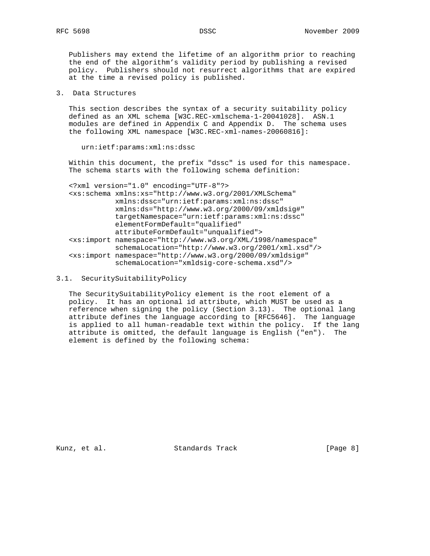Publishers may extend the lifetime of an algorithm prior to reaching the end of the algorithm's validity period by publishing a revised policy. Publishers should not resurrect algorithms that are expired at the time a revised policy is published.

3. Data Structures

 This section describes the syntax of a security suitability policy defined as an XML schema [W3C.REC-xmlschema-1-20041028]. ASN.1 modules are defined in Appendix C and Appendix D. The schema uses the following XML namespace [W3C.REC-xml-names-20060816]:

urn:ietf:params:xml:ns:dssc

 Within this document, the prefix "dssc" is used for this namespace. The schema starts with the following schema definition:

| xml version="1.0" encoding="UTF-8"?                                                 |
|-------------------------------------------------------------------------------------|
| <xs:schema <="" th="" xmlns:xs="http://www.w3.org/2001/XMLSchema"></xs:schema>      |
| xmlns:dssc="urn:ietf:params:xml:ns:dssc"                                            |
| xmlns:ds="http://www.w3.org/2000/09/xmldsig#"                                       |
| targetNamespace="urn:ietf:params:xml:ns:dssc"                                       |
| elementFormDefault="qualified"                                                      |
| attributeFormDefault="unqualified">                                                 |
| <xs:import <="" namespace="http://www.w3.org/XML/1998/namespace" th=""></xs:import> |
| schemaLocation="http://www.w3.org/2001/xml.xsd"/>                                   |
| <xs:import <="" namespace="http://www.w3.org/2000/09/xmldsig#" th=""></xs:import>   |
| schemaLocation="xmldsiq-core-schema.xsd"/>                                          |

3.1. SecuritySuitabilityPolicy

 The SecuritySuitabilityPolicy element is the root element of a policy. It has an optional id attribute, which MUST be used as a reference when signing the policy (Section 3.13). The optional lang attribute defines the language according to [RFC5646]. The language is applied to all human-readable text within the policy. If the lang attribute is omitted, the default language is English ("en"). The element is defined by the following schema:

Kunz, et al. Standards Track [Page 8]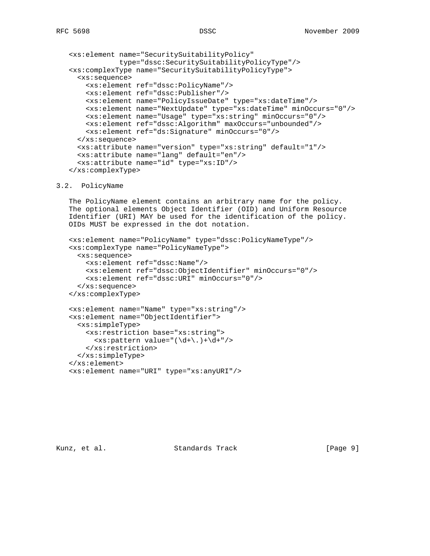```
 <xs:element name="SecuritySuitabilityPolicy"
             type="dssc:SecuritySuitabilityPolicyType"/>
 <xs:complexType name="SecuritySuitabilityPolicyType">
   <xs:sequence>
     <xs:element ref="dssc:PolicyName"/>
     <xs:element ref="dssc:Publisher"/>
    <xs:element name="PolicyIssueDate" type="xs:dateTime"/>
    <xs:element name="NextUpdate" type="xs:dateTime" minOccurs="0"/>
     <xs:element name="Usage" type="xs:string" minOccurs="0"/>
     <xs:element ref="dssc:Algorithm" maxOccurs="unbounded"/>
     <xs:element ref="ds:Signature" minOccurs="0"/>
   </xs:sequence>
   <xs:attribute name="version" type="xs:string" default="1"/>
   <xs:attribute name="lang" default="en"/>
   <xs:attribute name="id" type="xs:ID"/>
 </xs:complexType>
```
#### 3.2. PolicyName

 The PolicyName element contains an arbitrary name for the policy. The optional elements Object Identifier (OID) and Uniform Resource Identifier (URI) MAY be used for the identification of the policy. OIDs MUST be expressed in the dot notation.

```
 <xs:element name="PolicyName" type="dssc:PolicyNameType"/>
 <xs:complexType name="PolicyNameType">
   <xs:sequence>
     <xs:element ref="dssc:Name"/>
     <xs:element ref="dssc:ObjectIdentifier" minOccurs="0"/>
     <xs:element ref="dssc:URI" minOccurs="0"/>
   </xs:sequence>
 </xs:complexType>
 <xs:element name="Name" type="xs:string"/>
 <xs:element name="ObjectIdentifier">
   <xs:simpleType>
     <xs:restriction base="xs:string">
      \langle xs : pattern value = "(\d+ \ldots ) + \d+ " \rangle </xs:restriction>
   </xs:simpleType>
 </xs:element>
```

```
 <xs:element name="URI" type="xs:anyURI"/>
```
Kunz, et al. Standards Track [Page 9]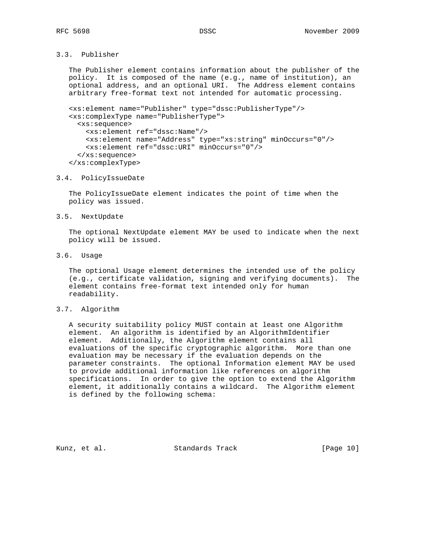# 3.3. Publisher

 The Publisher element contains information about the publisher of the policy. It is composed of the name (e.g., name of institution), an optional address, and an optional URI. The Address element contains arbitrary free-format text not intended for automatic processing.

```
 <xs:element name="Publisher" type="dssc:PublisherType"/>
 <xs:complexType name="PublisherType">
  <xs:sequence>
     <xs:element ref="dssc:Name"/>
     <xs:element name="Address" type="xs:string" minOccurs="0"/>
     <xs:element ref="dssc:URI" minOccurs="0"/>
   </xs:sequence>
 </xs:complexType>
```
# 3.4. PolicyIssueDate

 The PolicyIssueDate element indicates the point of time when the policy was issued.

3.5. NextUpdate

 The optional NextUpdate element MAY be used to indicate when the next policy will be issued.

3.6. Usage

 The optional Usage element determines the intended use of the policy (e.g., certificate validation, signing and verifying documents). The element contains free-format text intended only for human readability.

#### 3.7. Algorithm

 A security suitability policy MUST contain at least one Algorithm element. An algorithm is identified by an AlgorithmIdentifier element. Additionally, the Algorithm element contains all evaluations of the specific cryptographic algorithm. More than one evaluation may be necessary if the evaluation depends on the parameter constraints. The optional Information element MAY be used to provide additional information like references on algorithm specifications. In order to give the option to extend the Algorithm element, it additionally contains a wildcard. The Algorithm element is defined by the following schema:

Kunz, et al. Standards Track [Page 10]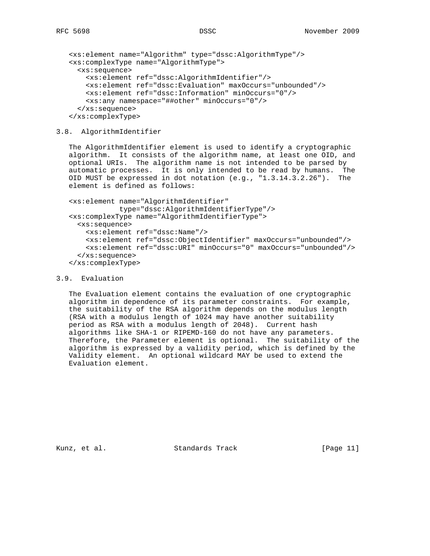```
 <xs:element name="Algorithm" type="dssc:AlgorithmType"/>
 <xs:complexType name="AlgorithmType">
   <xs:sequence>
     <xs:element ref="dssc:AlgorithmIdentifier"/>
     <xs:element ref="dssc:Evaluation" maxOccurs="unbounded"/>
     <xs:element ref="dssc:Information" minOccurs="0"/>
    <xs:any namespace="##other" minOccurs="0"/>
   </xs:sequence>
 </xs:complexType>
```
### 3.8. AlgorithmIdentifier

 The AlgorithmIdentifier element is used to identify a cryptographic algorithm. It consists of the algorithm name, at least one OID, and optional URIs. The algorithm name is not intended to be parsed by automatic processes. It is only intended to be read by humans. The OID MUST be expressed in dot notation (e.g., "1.3.14.3.2.26"). The element is defined as follows:

```
 <xs:element name="AlgorithmIdentifier"
             type="dssc:AlgorithmIdentifierType"/>
 <xs:complexType name="AlgorithmIdentifierType">
  <xs:sequence>
     <xs:element ref="dssc:Name"/>
     <xs:element ref="dssc:ObjectIdentifier" maxOccurs="unbounded"/>
     <xs:element ref="dssc:URI" minOccurs="0" maxOccurs="unbounded"/>
   </xs:sequence>
 </xs:complexType>
```
### 3.9. Evaluation

 The Evaluation element contains the evaluation of one cryptographic algorithm in dependence of its parameter constraints. For example, the suitability of the RSA algorithm depends on the modulus length (RSA with a modulus length of 1024 may have another suitability period as RSA with a modulus length of 2048). Current hash algorithms like SHA-1 or RIPEMD-160 do not have any parameters. Therefore, the Parameter element is optional. The suitability of the algorithm is expressed by a validity period, which is defined by the Validity element. An optional wildcard MAY be used to extend the Evaluation element.

Kunz, et al. Standards Track [Page 11]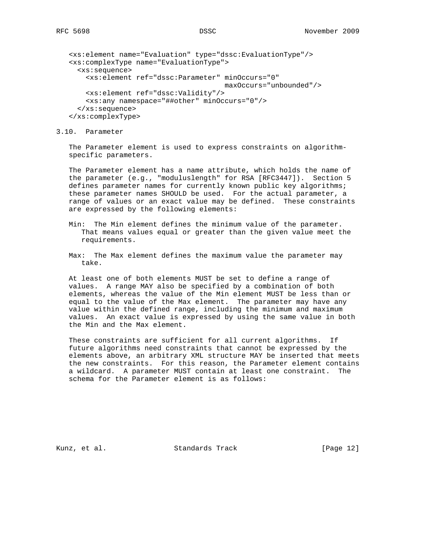```
 <xs:element name="Evaluation" type="dssc:EvaluationType"/>
 <xs:complexType name="EvaluationType">
   <xs:sequence>
     <xs:element ref="dssc:Parameter" minOccurs="0"
                                       maxOccurs="unbounded"/>
     <xs:element ref="dssc:Validity"/>
    <xs:any namespace="##other" minOccurs="0"/>
   </xs:sequence>
 </xs:complexType>
```
### 3.10. Parameter

 The Parameter element is used to express constraints on algorithm specific parameters.

 The Parameter element has a name attribute, which holds the name of the parameter (e.g., "moduluslength" for RSA [RFC3447]). Section 5 defines parameter names for currently known public key algorithms; these parameter names SHOULD be used. For the actual parameter, a range of values or an exact value may be defined. These constraints are expressed by the following elements:

- Min: The Min element defines the minimum value of the parameter. That means values equal or greater than the given value meet the requirements.
- Max: The Max element defines the maximum value the parameter may take.

 At least one of both elements MUST be set to define a range of values. A range MAY also be specified by a combination of both elements, whereas the value of the Min element MUST be less than or equal to the value of the Max element. The parameter may have any value within the defined range, including the minimum and maximum values. An exact value is expressed by using the same value in both the Min and the Max element.

 These constraints are sufficient for all current algorithms. If future algorithms need constraints that cannot be expressed by the elements above, an arbitrary XML structure MAY be inserted that meets the new constraints. For this reason, the Parameter element contains a wildcard. A parameter MUST contain at least one constraint. The schema for the Parameter element is as follows:

Kunz, et al. Standards Track [Page 12]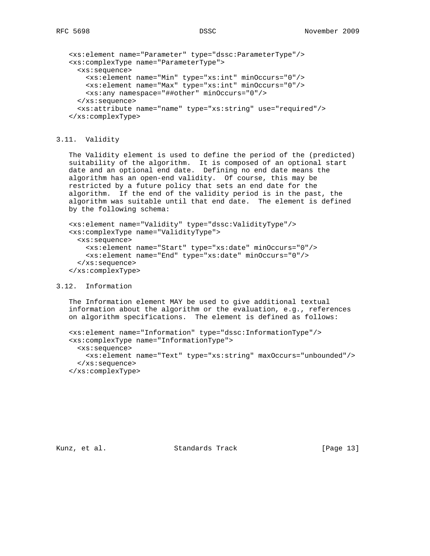<xs:element name="Parameter" type="dssc:ParameterType"/> <xs:complexType name="ParameterType"> <xs:sequence> <xs:element name="Min" type="xs:int" minOccurs="0"/> <xs:element name="Max" type="xs:int" minOccurs="0"/> <xs:any namespace="##other" minOccurs="0"/> </xs:sequence> <xs:attribute name="name" type="xs:string" use="required"/> </xs:complexType>

## 3.11. Validity

 The Validity element is used to define the period of the (predicted) suitability of the algorithm. It is composed of an optional start date and an optional end date. Defining no end date means the algorithm has an open-end validity. Of course, this may be restricted by a future policy that sets an end date for the algorithm. If the end of the validity period is in the past, the algorithm was suitable until that end date. The element is defined by the following schema:

 <xs:element name="Validity" type="dssc:ValidityType"/> <xs:complexType name="ValidityType"> <xs:sequence> <xs:element name="Start" type="xs:date" minOccurs="0"/> <xs:element name="End" type="xs:date" minOccurs="0"/> </xs:sequence> </xs:complexType>

### 3.12. Information

 The Information element MAY be used to give additional textual information about the algorithm or the evaluation, e.g., references on algorithm specifications. The element is defined as follows:

```
 <xs:element name="Information" type="dssc:InformationType"/>
 <xs:complexType name="InformationType">
  <xs:sequence>
     <xs:element name="Text" type="xs:string" maxOccurs="unbounded"/>
   </xs:sequence>
 </xs:complexType>
```
Kunz, et al. Standards Track [Page 13]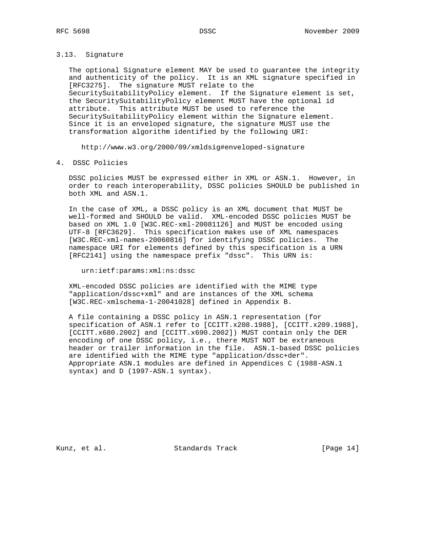#### 3.13. Signature

 The optional Signature element MAY be used to guarantee the integrity and authenticity of the policy. It is an XML signature specified in [RFC3275]. The signature MUST relate to the SecuritySuitabilityPolicy element. If the Signature element is set, the SecuritySuitabilityPolicy element MUST have the optional id attribute. This attribute MUST be used to reference the SecuritySuitabilityPolicy element within the Signature element. Since it is an enveloped signature, the signature MUST use the transformation algorithm identified by the following URI:

http://www.w3.org/2000/09/xmldsig#enveloped-signature

4. DSSC Policies

 DSSC policies MUST be expressed either in XML or ASN.1. However, in order to reach interoperability, DSSC policies SHOULD be published in both XML and ASN.1.

 In the case of XML, a DSSC policy is an XML document that MUST be well-formed and SHOULD be valid. XML-encoded DSSC policies MUST be based on XML 1.0 [W3C.REC-xml-20081126] and MUST be encoded using UTF-8 [RFC3629]. This specification makes use of XML namespaces [W3C.REC-xml-names-20060816] for identifying DSSC policies. The namespace URI for elements defined by this specification is a URN [RFC2141] using the namespace prefix "dssc". This URN is:

urn:ietf:params:xml:ns:dssc

 XML-encoded DSSC policies are identified with the MIME type "application/dssc+xml" and are instances of the XML schema [W3C.REC-xmlschema-1-20041028] defined in Appendix B.

 A file containing a DSSC policy in ASN.1 representation (for specification of ASN.1 refer to [CCITT.x208.1988], [CCITT.x209.1988], [CCITT.x680.2002] and [CCITT.x690.2002]) MUST contain only the DER encoding of one DSSC policy, i.e., there MUST NOT be extraneous header or trailer information in the file. ASN.1-based DSSC policies are identified with the MIME type "application/dssc+der". Appropriate ASN.1 modules are defined in Appendices C (1988-ASN.1 syntax) and D (1997-ASN.1 syntax).

Kunz, et al. Standards Track [Page 14]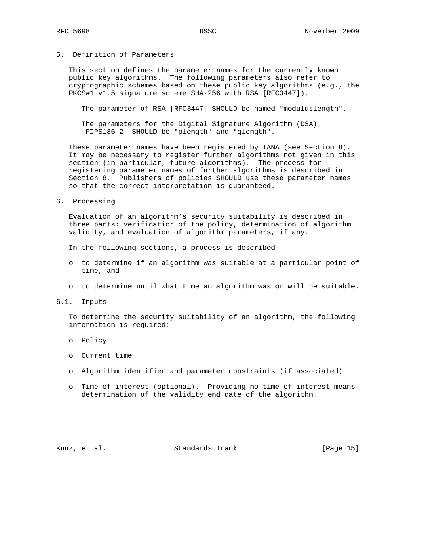# 5. Definition of Parameters

 This section defines the parameter names for the currently known public key algorithms. The following parameters also refer to cryptographic schemes based on these public key algorithms (e.g., the PKCS#1 v1.5 signature scheme SHA-256 with RSA [RFC3447]).

The parameter of RSA [RFC3447] SHOULD be named "moduluslength".

 The parameters for the Digital Signature Algorithm (DSA) [FIPS186-2] SHOULD be "plength" and "qlength".

 These parameter names have been registered by IANA (see Section 8). It may be necessary to register further algorithms not given in this section (in particular, future algorithms). The process for registering parameter names of further algorithms is described in Section 8. Publishers of policies SHOULD use these parameter names so that the correct interpretation is guaranteed.

6. Processing

 Evaluation of an algorithm's security suitability is described in three parts: verification of the policy, determination of algorithm validity, and evaluation of algorithm parameters, if any.

In the following sections, a process is described

- o to determine if an algorithm was suitable at a particular point of time, and
- o to determine until what time an algorithm was or will be suitable.
- 6.1. Inputs

 To determine the security suitability of an algorithm, the following information is required:

- o Policy
- o Current time
- o Algorithm identifier and parameter constraints (if associated)
- o Time of interest (optional). Providing no time of interest means determination of the validity end date of the algorithm.

Kunz, et al. Standards Track [Page 15]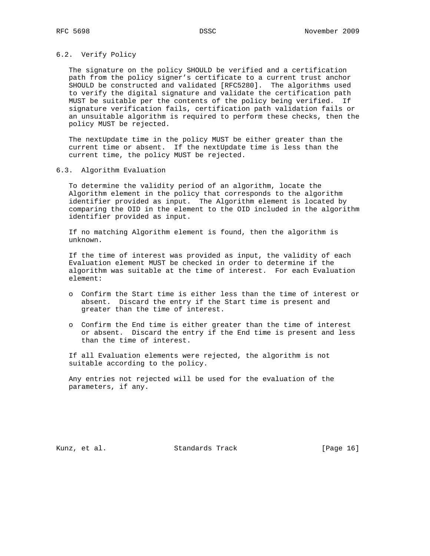## 6.2. Verify Policy

 The signature on the policy SHOULD be verified and a certification path from the policy signer's certificate to a current trust anchor SHOULD be constructed and validated [RFC5280]. The algorithms used to verify the digital signature and validate the certification path MUST be suitable per the contents of the policy being verified. If signature verification fails, certification path validation fails or an unsuitable algorithm is required to perform these checks, then the policy MUST be rejected.

 The nextUpdate time in the policy MUST be either greater than the current time or absent. If the nextUpdate time is less than the current time, the policy MUST be rejected.

#### 6.3. Algorithm Evaluation

 To determine the validity period of an algorithm, locate the Algorithm element in the policy that corresponds to the algorithm identifier provided as input. The Algorithm element is located by comparing the OID in the element to the OID included in the algorithm identifier provided as input.

 If no matching Algorithm element is found, then the algorithm is unknown.

 If the time of interest was provided as input, the validity of each Evaluation element MUST be checked in order to determine if the algorithm was suitable at the time of interest. For each Evaluation element:

- o Confirm the Start time is either less than the time of interest or absent. Discard the entry if the Start time is present and greater than the time of interest.
- o Confirm the End time is either greater than the time of interest or absent. Discard the entry if the End time is present and less than the time of interest.

 If all Evaluation elements were rejected, the algorithm is not suitable according to the policy.

 Any entries not rejected will be used for the evaluation of the parameters, if any.

Kunz, et al. Standards Track [Page 16]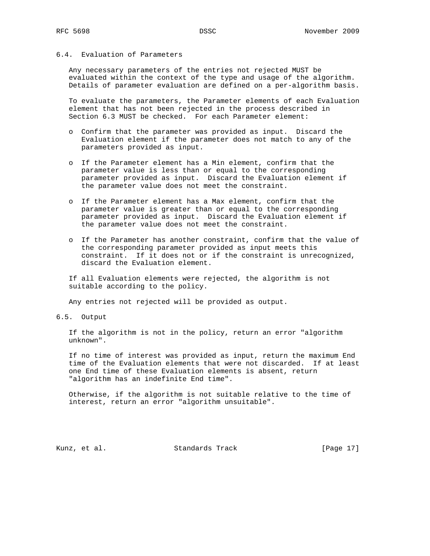# 6.4. Evaluation of Parameters

 Any necessary parameters of the entries not rejected MUST be evaluated within the context of the type and usage of the algorithm. Details of parameter evaluation are defined on a per-algorithm basis.

 To evaluate the parameters, the Parameter elements of each Evaluation element that has not been rejected in the process described in Section 6.3 MUST be checked. For each Parameter element:

- o Confirm that the parameter was provided as input. Discard the Evaluation element if the parameter does not match to any of the parameters provided as input.
- o If the Parameter element has a Min element, confirm that the parameter value is less than or equal to the corresponding parameter provided as input. Discard the Evaluation element if the parameter value does not meet the constraint.
- o If the Parameter element has a Max element, confirm that the parameter value is greater than or equal to the corresponding parameter provided as input. Discard the Evaluation element if the parameter value does not meet the constraint.
- o If the Parameter has another constraint, confirm that the value of the corresponding parameter provided as input meets this constraint. If it does not or if the constraint is unrecognized, discard the Evaluation element.

 If all Evaluation elements were rejected, the algorithm is not suitable according to the policy.

Any entries not rejected will be provided as output.

#### 6.5. Output

 If the algorithm is not in the policy, return an error "algorithm unknown".

 If no time of interest was provided as input, return the maximum End time of the Evaluation elements that were not discarded. If at least one End time of these Evaluation elements is absent, return "algorithm has an indefinite End time".

 Otherwise, if the algorithm is not suitable relative to the time of interest, return an error "algorithm unsuitable".

Kunz, et al. Standards Track [Page 17]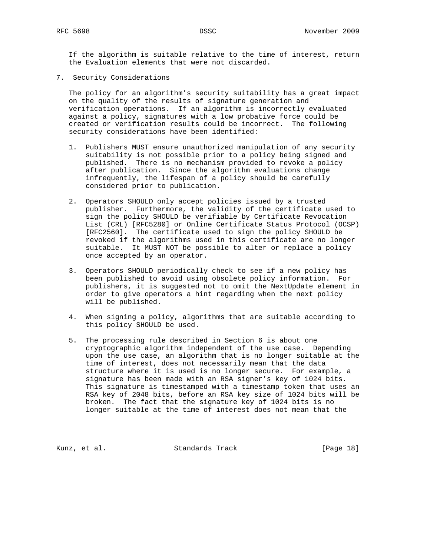If the algorithm is suitable relative to the time of interest, return the Evaluation elements that were not discarded.

7. Security Considerations

 The policy for an algorithm's security suitability has a great impact on the quality of the results of signature generation and verification operations. If an algorithm is incorrectly evaluated against a policy, signatures with a low probative force could be created or verification results could be incorrect. The following security considerations have been identified:

- 1. Publishers MUST ensure unauthorized manipulation of any security suitability is not possible prior to a policy being signed and published. There is no mechanism provided to revoke a policy after publication. Since the algorithm evaluations change infrequently, the lifespan of a policy should be carefully considered prior to publication.
- 2. Operators SHOULD only accept policies issued by a trusted publisher. Furthermore, the validity of the certificate used to sign the policy SHOULD be verifiable by Certificate Revocation List (CRL) [RFC5280] or Online Certificate Status Protocol (OCSP) [RFC2560]. The certificate used to sign the policy SHOULD be revoked if the algorithms used in this certificate are no longer suitable. It MUST NOT be possible to alter or replace a policy once accepted by an operator.
- 3. Operators SHOULD periodically check to see if a new policy has been published to avoid using obsolete policy information. For publishers, it is suggested not to omit the NextUpdate element in order to give operators a hint regarding when the next policy will be published.
- 4. When signing a policy, algorithms that are suitable according to this policy SHOULD be used.
- 5. The processing rule described in Section 6 is about one cryptographic algorithm independent of the use case. Depending upon the use case, an algorithm that is no longer suitable at the time of interest, does not necessarily mean that the data structure where it is used is no longer secure. For example, a signature has been made with an RSA signer's key of 1024 bits. This signature is timestamped with a timestamp token that uses an RSA key of 2048 bits, before an RSA key size of 1024 bits will be broken. The fact that the signature key of 1024 bits is no longer suitable at the time of interest does not mean that the

Kunz, et al. Standards Track [Page 18]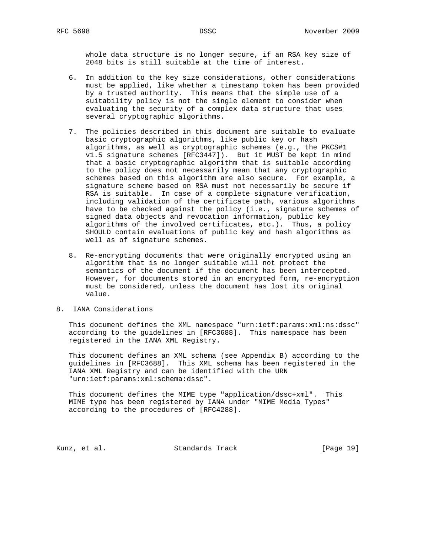whole data structure is no longer secure, if an RSA key size of 2048 bits is still suitable at the time of interest.

- 6. In addition to the key size considerations, other considerations must be applied, like whether a timestamp token has been provided by a trusted authority. This means that the simple use of a suitability policy is not the single element to consider when evaluating the security of a complex data structure that uses several cryptographic algorithms.
- 7. The policies described in this document are suitable to evaluate basic cryptographic algorithms, like public key or hash algorithms, as well as cryptographic schemes (e.g., the PKCS#1 v1.5 signature schemes [RFC3447]). But it MUST be kept in mind that a basic cryptographic algorithm that is suitable according to the policy does not necessarily mean that any cryptographic schemes based on this algorithm are also secure. For example, a signature scheme based on RSA must not necessarily be secure if RSA is suitable. In case of a complete signature verification, including validation of the certificate path, various algorithms have to be checked against the policy (i.e., signature schemes of signed data objects and revocation information, public key algorithms of the involved certificates, etc.). Thus, a policy SHOULD contain evaluations of public key and hash algorithms as well as of signature schemes.
- 8. Re-encrypting documents that were originally encrypted using an algorithm that is no longer suitable will not protect the semantics of the document if the document has been intercepted. However, for documents stored in an encrypted form, re-encryption must be considered, unless the document has lost its original value.

## 8. IANA Considerations

 This document defines the XML namespace "urn:ietf:params:xml:ns:dssc" according to the guidelines in [RFC3688]. This namespace has been registered in the IANA XML Registry.

 This document defines an XML schema (see Appendix B) according to the guidelines in [RFC3688]. This XML schema has been registered in the IANA XML Registry and can be identified with the URN "urn:ietf:params:xml:schema:dssc".

 This document defines the MIME type "application/dssc+xml". This MIME type has been registered by IANA under "MIME Media Types" according to the procedures of [RFC4288].

Kunz, et al. Standards Track [Page 19]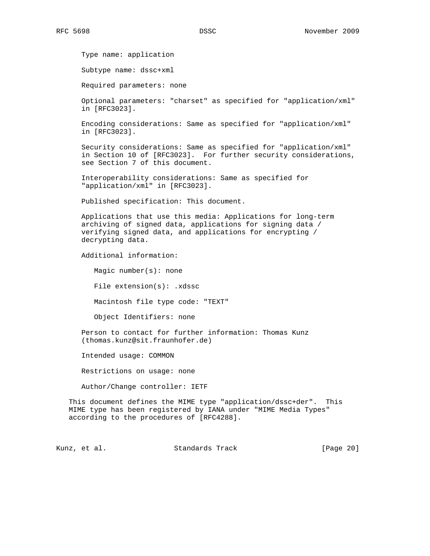Type name: application

Subtype name: dssc+xml

Required parameters: none

 Optional parameters: "charset" as specified for "application/xml" in [RFC3023].

 Encoding considerations: Same as specified for "application/xml" in [RFC3023].

 Security considerations: Same as specified for "application/xml" in Section 10 of [RFC3023]. For further security considerations, see Section 7 of this document.

 Interoperability considerations: Same as specified for "application/xml" in [RFC3023].

Published specification: This document.

 Applications that use this media: Applications for long-term archiving of signed data, applications for signing data / verifying signed data, and applications for encrypting / decrypting data.

Additional information:

Magic number(s): none

File extension(s): .xdssc

Macintosh file type code: "TEXT"

Object Identifiers: none

 Person to contact for further information: Thomas Kunz (thomas.kunz@sit.fraunhofer.de)

Intended usage: COMMON

Restrictions on usage: none

Author/Change controller: IETF

 This document defines the MIME type "application/dssc+der". This MIME type has been registered by IANA under "MIME Media Types" according to the procedures of [RFC4288].

Kunz, et al. Standards Track [Page 20]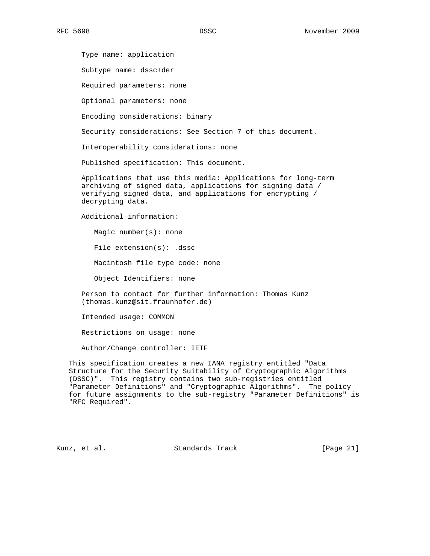Type name: application

Subtype name: dssc+der

Required parameters: none

Optional parameters: none

Encoding considerations: binary

Security considerations: See Section 7 of this document.

Interoperability considerations: none

Published specification: This document.

 Applications that use this media: Applications for long-term archiving of signed data, applications for signing data / verifying signed data, and applications for encrypting / decrypting data.

Additional information:

Magic number(s): none

File extension(s): .dssc

Macintosh file type code: none

Object Identifiers: none

 Person to contact for further information: Thomas Kunz (thomas.kunz@sit.fraunhofer.de)

Intended usage: COMMON

Restrictions on usage: none

Author/Change controller: IETF

 This specification creates a new IANA registry entitled "Data Structure for the Security Suitability of Cryptographic Algorithms (DSSC)". This registry contains two sub-registries entitled "Parameter Definitions" and "Cryptographic Algorithms". The policy for future assignments to the sub-registry "Parameter Definitions" is "RFC Required".

Kunz, et al. Standards Track [Page 21]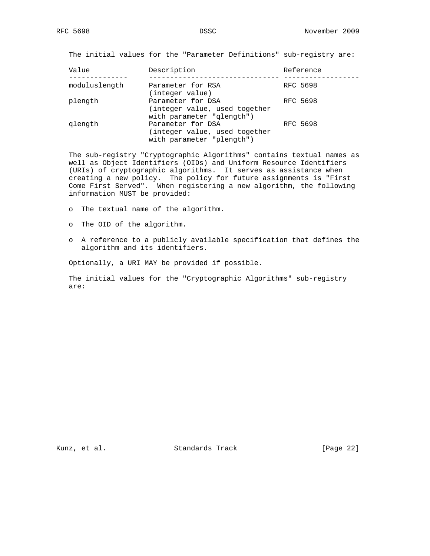The initial values for the "Parameter Definitions" sub-registry are:

| Value         | Description                   | Reference |
|---------------|-------------------------------|-----------|
|               |                               |           |
| moduluslength | Parameter for RSA             | RFC 5698  |
|               | (integer value)               |           |
| plength       | Parameter for DSA             | RFC 5698  |
|               | (integer value, used together |           |
|               | with parameter "glength")     |           |
| glength       | Parameter for DSA             | RFC 5698  |
|               | (integer value, used together |           |
|               | with parameter "plength")     |           |

 The sub-registry "Cryptographic Algorithms" contains textual names as well as Object Identifiers (OIDs) and Uniform Resource Identifiers (URIs) of cryptographic algorithms. It serves as assistance when creating a new policy. The policy for future assignments is "First Come First Served". When registering a new algorithm, the following information MUST be provided:

o The textual name of the algorithm.

- o The OID of the algorithm.
- o A reference to a publicly available specification that defines the algorithm and its identifiers.

Optionally, a URI MAY be provided if possible.

 The initial values for the "Cryptographic Algorithms" sub-registry are:

Kunz, et al. Standards Track [Page 22]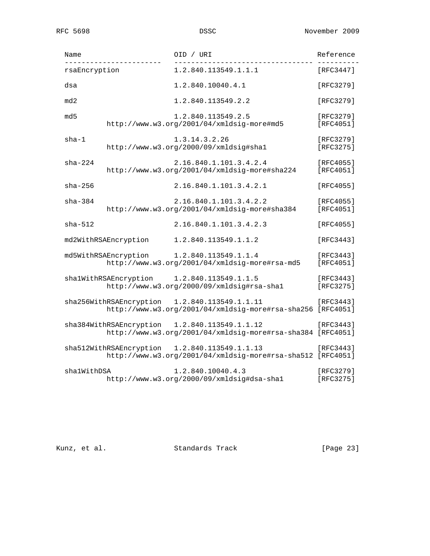| Name          |                         | OID / URI                                                                            | Reference              |
|---------------|-------------------------|--------------------------------------------------------------------------------------|------------------------|
| rsaEncryption |                         | 1.2.840.113549.1.1.1                                                                 | [RFC3447]              |
| dsa           |                         | 1.2.840.10040.4.1                                                                    | [RFC3279]              |
| md2           |                         | 1.2.840.113549.2.2                                                                   | [RFC3279]              |
| md 5          |                         | 1.2.840.113549.2.5<br>http://www.w3.org/2001/04/xmldsig-more#md5                     | [RFC3279]<br>[RFC4051] |
| $sha-1$       |                         | 1.3.14.3.2.26<br>http://www.w3.org/2000/09/xmldsig#shal                              | [RFC3279]<br>[RFC3275] |
| $sha-224$     |                         | 2.16.840.1.101.3.4.2.4<br>http://www.w3.org/2001/04/xmldsig-more#sha224              | [RFC4055]<br>[RFC4051] |
| $sha - 256$   |                         | 2.16.840.1.101.3.4.2.1                                                               | [RFC4055]              |
| $sha-384$     |                         | 2.16.840.1.101.3.4.2.2<br>http://www.w3.org/2001/04/xmldsig-more#sha384              | [RFC4055]<br>[RFC4051] |
| $sha - 512$   |                         | 2.16.840.1.101.3.4.2.3                                                               | [RFC4055]              |
|               | md2WithRSAEncryption    | 1.2.840.113549.1.1.2                                                                 | [RFC3443]              |
|               | md5WithRSAEncryption    | 1.2.840.113549.1.1.4<br>http://www.w3.org/2001/04/xmldsig-more#rsa-md5               | [RFC3443]<br>[RFC4051] |
|               | shalWithRSAEncryption   | 1.2.840.113549.1.1.5<br>http://www.w3.org/2000/09/xmldsig#rsa-shal                   | [RFC3443]<br>[RFC3275] |
|               | sha256WithRSAEncryption | 1.2.840.113549.1.1.11<br>http://www.w3.org/2001/04/xmldsig-more#rsa-sha256 [RFC4051] | [RFC3443]              |
|               | sha384WithRSAEncryption | 1.2.840.113549.1.1.12<br>http://www.w3.org/2001/04/xmldsig-more#rsa-sha384 [RFC4051] | [RFC3443]              |
|               | sha512WithRSAEncryption | 1.2.840.113549.1.1.13<br>http://www.w3.org/2001/04/xmldsig-more#rsa-sha512 [RFC4051] | [RFC3443]              |
| sha1WithDSA   |                         | 1.2.840.10040.4.3<br>http://www.w3.org/2000/09/xmldsig#dsa-shal                      | [RFC3279]<br>[RFC3275] |

Kunz, et al. Standards Track [Page 23]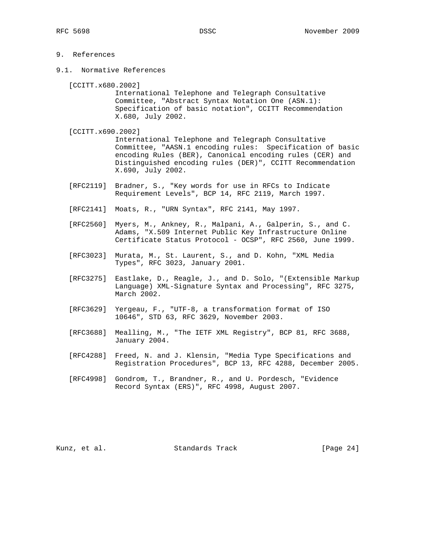# 9. References

9.1. Normative References

[CCITT.x680.2002]

 International Telephone and Telegraph Consultative Committee, "Abstract Syntax Notation One (ASN.1): Specification of basic notation", CCITT Recommendation X.680, July 2002.

[CCITT.x690.2002]

 International Telephone and Telegraph Consultative Committee, "AASN.1 encoding rules: Specification of basic encoding Rules (BER), Canonical encoding rules (CER) and Distinguished encoding rules (DER)", CCITT Recommendation X.690, July 2002.

- [RFC2119] Bradner, S., "Key words for use in RFCs to Indicate Requirement Levels", BCP 14, RFC 2119, March 1997.
- [RFC2141] Moats, R., "URN Syntax", RFC 2141, May 1997.
- [RFC2560] Myers, M., Ankney, R., Malpani, A., Galperin, S., and C. Adams, "X.509 Internet Public Key Infrastructure Online Certificate Status Protocol - OCSP", RFC 2560, June 1999.
- [RFC3023] Murata, M., St. Laurent, S., and D. Kohn, "XML Media Types", RFC 3023, January 2001.
- [RFC3275] Eastlake, D., Reagle, J., and D. Solo, "(Extensible Markup Language) XML-Signature Syntax and Processing", RFC 3275, March 2002.
- [RFC3629] Yergeau, F., "UTF-8, a transformation format of ISO 10646", STD 63, RFC 3629, November 2003.
- [RFC3688] Mealling, M., "The IETF XML Registry", BCP 81, RFC 3688, January 2004.
- [RFC4288] Freed, N. and J. Klensin, "Media Type Specifications and Registration Procedures", BCP 13, RFC 4288, December 2005.
- [RFC4998] Gondrom, T., Brandner, R., and U. Pordesch, "Evidence Record Syntax (ERS)", RFC 4998, August 2007.

Kunz, et al. Standards Track [Page 24]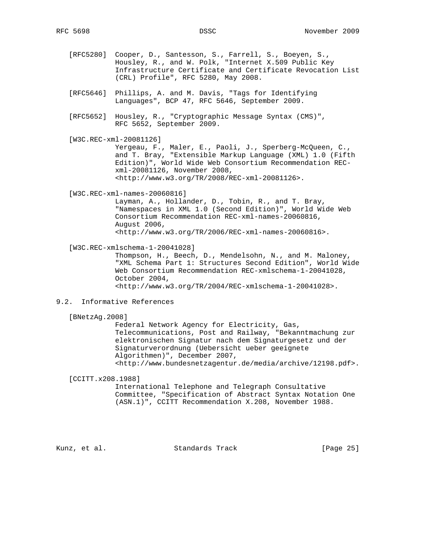- [RFC5280] Cooper, D., Santesson, S., Farrell, S., Boeyen, S., Housley, R., and W. Polk, "Internet X.509 Public Key Infrastructure Certificate and Certificate Revocation List (CRL) Profile", RFC 5280, May 2008.
- [RFC5646] Phillips, A. and M. Davis, "Tags for Identifying Languages", BCP 47, RFC 5646, September 2009.
- [RFC5652] Housley, R., "Cryptographic Message Syntax (CMS)", RFC 5652, September 2009.
- [W3C.REC-xml-20081126] Yergeau, F., Maler, E., Paoli, J., Sperberg-McQueen, C., and T. Bray, "Extensible Markup Language (XML) 1.0 (Fifth Edition)", World Wide Web Consortium Recommendation REC xml-20081126, November 2008, <http://www.w3.org/TR/2008/REC-xml-20081126>.
- [W3C.REC-xml-names-20060816]

 Layman, A., Hollander, D., Tobin, R., and T. Bray, "Namespaces in XML 1.0 (Second Edition)", World Wide Web Consortium Recommendation REC-xml-names-20060816, August 2006, <http://www.w3.org/TR/2006/REC-xml-names-20060816>.

[W3C.REC-xmlschema-1-20041028]

 Thompson, H., Beech, D., Mendelsohn, N., and M. Maloney, "XML Schema Part 1: Structures Second Edition", World Wide Web Consortium Recommendation REC-xmlschema-1-20041028, October 2004, <http://www.w3.org/TR/2004/REC-xmlschema-1-20041028>.

9.2. Informative References

[BNetzAg.2008]

 Federal Network Agency for Electricity, Gas, Telecommunications, Post and Railway, "Bekanntmachung zur elektronischen Signatur nach dem Signaturgesetz und der Signaturverordnung (Uebersicht ueber geeignete Algorithmen)", December 2007, <http://www.bundesnetzagentur.de/media/archive/12198.pdf>.

[CCITT.x208.1988]

 International Telephone and Telegraph Consultative Committee, "Specification of Abstract Syntax Notation One (ASN.1)", CCITT Recommendation X.208, November 1988.

Kunz, et al. Standards Track [Page 25]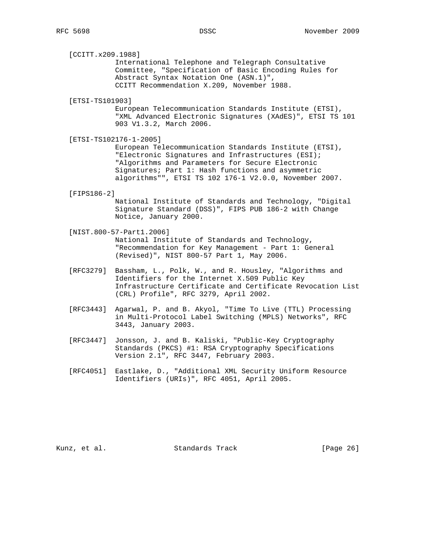[CCITT.x209.1988]

 International Telephone and Telegraph Consultative Committee, "Specification of Basic Encoding Rules for Abstract Syntax Notation One (ASN.1)", CCITT Recommendation X.209, November 1988.

[ETSI-TS101903]

 European Telecommunication Standards Institute (ETSI), "XML Advanced Electronic Signatures (XAdES)", ETSI TS 101 903 V1.3.2, March 2006.

[ETSI-TS102176-1-2005]

 European Telecommunication Standards Institute (ETSI), "Electronic Signatures and Infrastructures (ESI); "Algorithms and Parameters for Secure Electronic Signatures; Part 1: Hash functions and asymmetric algorithms"", ETSI TS 102 176-1 V2.0.0, November 2007.

[FIPS186-2]

 National Institute of Standards and Technology, "Digital Signature Standard (DSS)", FIPS PUB 186-2 with Change Notice, January 2000.

- [NIST.800-57-Part1.2006] National Institute of Standards and Technology, "Recommendation for Key Management - Part 1: General (Revised)", NIST 800-57 Part 1, May 2006.
- [RFC3279] Bassham, L., Polk, W., and R. Housley, "Algorithms and Identifiers for the Internet X.509 Public Key Infrastructure Certificate and Certificate Revocation List (CRL) Profile", RFC 3279, April 2002.
- [RFC3443] Agarwal, P. and B. Akyol, "Time To Live (TTL) Processing in Multi-Protocol Label Switching (MPLS) Networks", RFC 3443, January 2003.
- [RFC3447] Jonsson, J. and B. Kaliski, "Public-Key Cryptography Standards (PKCS) #1: RSA Cryptography Specifications Version 2.1", RFC 3447, February 2003.
- [RFC4051] Eastlake, D., "Additional XML Security Uniform Resource Identifiers (URIs)", RFC 4051, April 2005.

Kunz, et al. Standards Track [Page 26]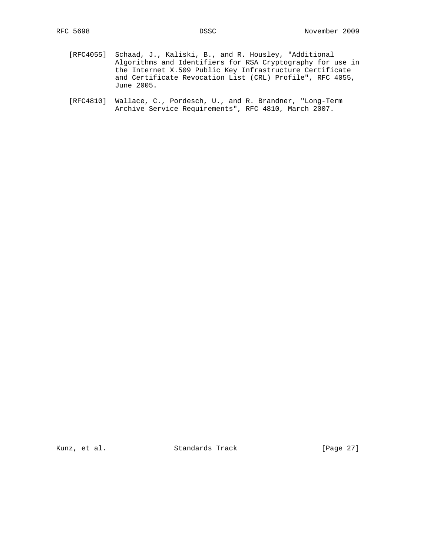- [RFC4055] Schaad, J., Kaliski, B., and R. Housley, "Additional Algorithms and Identifiers for RSA Cryptography for use in the Internet X.509 Public Key Infrastructure Certificate and Certificate Revocation List (CRL) Profile", RFC 4055, June 2005.
- [RFC4810] Wallace, C., Pordesch, U., and R. Brandner, "Long-Term Archive Service Requirements", RFC 4810, March 2007.

Kunz, et al. Standards Track [Page 27]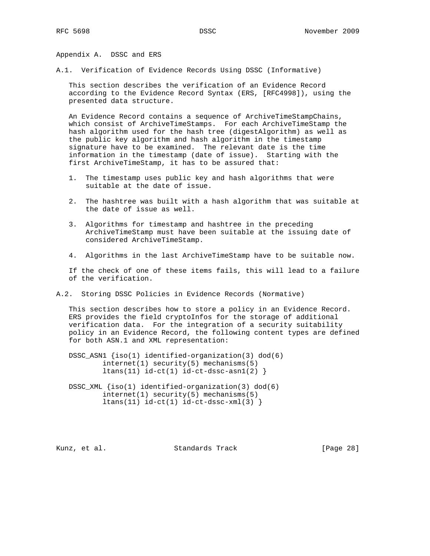Appendix A. DSSC and ERS

A.1. Verification of Evidence Records Using DSSC (Informative)

 This section describes the verification of an Evidence Record according to the Evidence Record Syntax (ERS, [RFC4998]), using the presented data structure.

 An Evidence Record contains a sequence of ArchiveTimeStampChains, which consist of ArchiveTimeStamps. For each ArchiveTimeStamp the hash algorithm used for the hash tree (digestAlgorithm) as well as the public key algorithm and hash algorithm in the timestamp signature have to be examined. The relevant date is the time information in the timestamp (date of issue). Starting with the first ArchiveTimeStamp, it has to be assured that:

- 1. The timestamp uses public key and hash algorithms that were suitable at the date of issue.
- 2. The hashtree was built with a hash algorithm that was suitable at the date of issue as well.
- 3. Algorithms for timestamp and hashtree in the preceding ArchiveTimeStamp must have been suitable at the issuing date of considered ArchiveTimeStamp.
- 4. Algorithms in the last ArchiveTimeStamp have to be suitable now.

 If the check of one of these items fails, this will lead to a failure of the verification.

A.2. Storing DSSC Policies in Evidence Records (Normative)

 This section describes how to store a policy in an Evidence Record. ERS provides the field cryptoInfos for the storage of additional verification data. For the integration of a security suitability policy in an Evidence Record, the following content types are defined for both ASN.1 and XML representation:

 DSSC\_ASN1 {iso(1) identified-organization(3) dod(6) internet(1) security(5) mechanisms(5)  $ltans(11) id-ct(1) id-ct-dssc-asn1(2)$ 

DSSC\_XML  ${iso(1)$  identified-organization(3) dod(6) internet(1) security(5) mechanisms(5)  $ltans(11) id-ct(1) id-ct-dssc-xml(3)$ 

Kunz, et al. Standards Track [Page 28]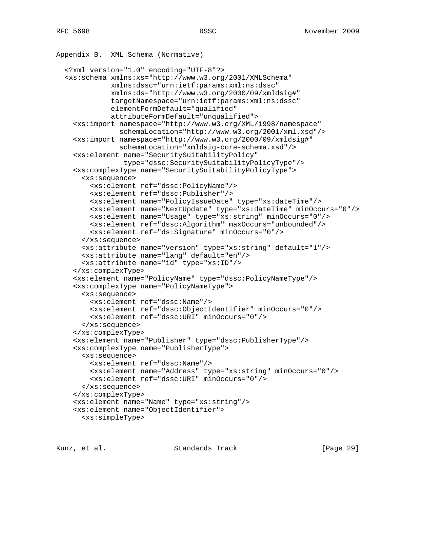```
Appendix B. XML Schema (Normative)
   <?xml version="1.0" encoding="UTF-8"?>
   <xs:schema xmlns:xs="http://www.w3.org/2001/XMLSchema"
              xmlns:dssc="urn:ietf:params:xml:ns:dssc"
              xmlns:ds="http://www.w3.org/2000/09/xmldsig#"
              targetNamespace="urn:ietf:params:xml:ns:dssc"
              elementFormDefault="qualified"
              attributeFormDefault="unqualified">
     <xs:import namespace="http://www.w3.org/XML/1998/namespace"
                schemaLocation="http://www.w3.org/2001/xml.xsd"/>
     <xs:import namespace="http://www.w3.org/2000/09/xmldsig#"
                schemaLocation="xmldsig-core-schema.xsd"/>
     <xs:element name="SecuritySuitabilityPolicy"
                 type="dssc:SecuritySuitabilityPolicyType"/>
     <xs:complexType name="SecuritySuitabilityPolicyType">
       <xs:sequence>
         <xs:element ref="dssc:PolicyName"/>
         <xs:element ref="dssc:Publisher"/>
         <xs:element name="PolicyIssueDate" type="xs:dateTime"/>
         <xs:element name="NextUpdate" type="xs:dateTime" minOccurs="0"/>
         <xs:element name="Usage" type="xs:string" minOccurs="0"/>
         <xs:element ref="dssc:Algorithm" maxOccurs="unbounded"/>
         <xs:element ref="ds:Signature" minOccurs="0"/>
       </xs:sequence>
       <xs:attribute name="version" type="xs:string" default="1"/>
       <xs:attribute name="lang" default="en"/>
       <xs:attribute name="id" type="xs:ID"/>
     </xs:complexType>
     <xs:element name="PolicyName" type="dssc:PolicyNameType"/>
     <xs:complexType name="PolicyNameType">
       <xs:sequence>
         <xs:element ref="dssc:Name"/>
         <xs:element ref="dssc:ObjectIdentifier" minOccurs="0"/>
         <xs:element ref="dssc:URI" minOccurs="0"/>
       </xs:sequence>
     </xs:complexType>
     <xs:element name="Publisher" type="dssc:PublisherType"/>
     <xs:complexType name="PublisherType">
       <xs:sequence>
         <xs:element ref="dssc:Name"/>
         <xs:element name="Address" type="xs:string" minOccurs="0"/>
         <xs:element ref="dssc:URI" minOccurs="0"/>
       </xs:sequence>
     </xs:complexType>
     <xs:element name="Name" type="xs:string"/>
     <xs:element name="ObjectIdentifier">
       <xs:simpleType>
```
Kunz, et al. Standards Track [Page 29]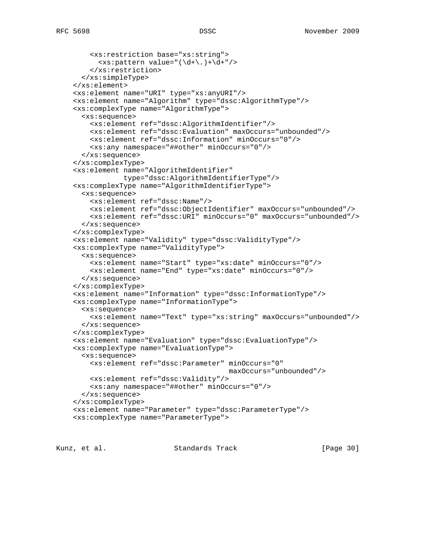```
 <xs:restriction base="xs:string">
     \langle x s :pattern value="(\{d+\}, )+\{d+\}"/>
     </xs:restriction>
  </xs:simpleType>
 </xs:element>
 <xs:element name="URI" type="xs:anyURI"/>
 <xs:element name="Algorithm" type="dssc:AlgorithmType"/>
 <xs:complexType name="AlgorithmType">
  <xs:sequence>
    <xs:element ref="dssc:AlgorithmIdentifier"/>
     <xs:element ref="dssc:Evaluation" maxOccurs="unbounded"/>
     <xs:element ref="dssc:Information" minOccurs="0"/>
     <xs:any namespace="##other" minOccurs="0"/>
  </xs:sequence>
 </xs:complexType>
 <xs:element name="AlgorithmIdentifier"
             type="dssc:AlgorithmIdentifierType"/>
 <xs:complexType name="AlgorithmIdentifierType">
  <xs:sequence>
    <xs:element ref="dssc:Name"/>
    <xs:element ref="dssc:ObjectIdentifier" maxOccurs="unbounded"/>
    <xs:element ref="dssc:URI" minOccurs="0" maxOccurs="unbounded"/>
  </xs:sequence>
 </xs:complexType>
 <xs:element name="Validity" type="dssc:ValidityType"/>
 <xs:complexType name="ValidityType">
  <xs:sequence>
     <xs:element name="Start" type="xs:date" minOccurs="0"/>
     <xs:element name="End" type="xs:date" minOccurs="0"/>
  </xs:sequence>
 </xs:complexType>
 <xs:element name="Information" type="dssc:InformationType"/>
 <xs:complexType name="InformationType">
  <xs:sequence>
     <xs:element name="Text" type="xs:string" maxOccurs="unbounded"/>
  </xs:sequence>
 </xs:complexType>
 <xs:element name="Evaluation" type="dssc:EvaluationType"/>
 <xs:complexType name="EvaluationType">
  <xs:sequence>
     <xs:element ref="dssc:Parameter" minOccurs="0"
                                       maxOccurs="unbounded"/>
    <xs:element ref="dssc:Validity"/>
     <xs:any namespace="##other" minOccurs="0"/>
  </xs:sequence>
 </xs:complexType>
 <xs:element name="Parameter" type="dssc:ParameterType"/>
 <xs:complexType name="ParameterType">
```
Kunz, et al. Standards Track [Page 30]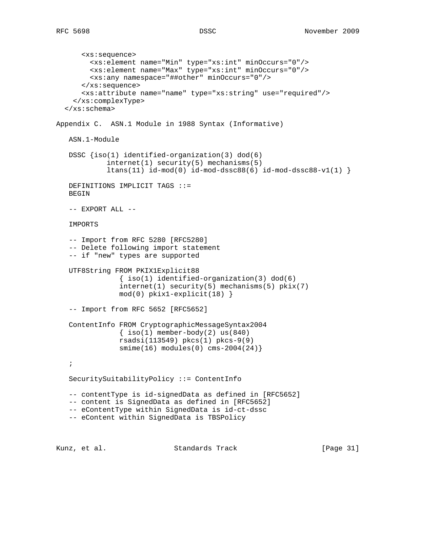```
 <xs:sequence>
         <xs:element name="Min" type="xs:int" minOccurs="0"/>
         <xs:element name="Max" type="xs:int" minOccurs="0"/>
         <xs:any namespace="##other" minOccurs="0"/>
       </xs:sequence>
       <xs:attribute name="name" type="xs:string" use="required"/>
     </xs:complexType>
   </xs:schema>
Appendix C. ASN.1 Module in 1988 Syntax (Informative)
   ASN.1-Module
   DSSC {iso(1) identified-organization(3) dod(6)
             internet(1) security(5) mechanisms(5)
             ltans(11) id-mod(0) id-mod-dssc88(6) id-mod-dssc88-v1(1) }
   DEFINITIONS IMPLICIT TAGS ::=
   BEGIN
    -- EXPORT ALL --
   IMPORTS
    -- Import from RFC 5280 [RFC5280]
    -- Delete following import statement
    -- if "new" types are supported
   UTF8String FROM PKIX1Explicit88
                { iso(1) identified-organization(3) dod(6)
                internet(1) security(5) mechanisms(5) pkix(7)
                mod(0) pkix1-explicit(18) }
    -- Import from RFC 5652 [RFC5652]
   ContentInfo FROM CryptographicMessageSyntax2004
               \{ iso(1) member-body(2) us(840) rsadsi(113549) pkcs(1) pkcs-9(9)
                smime(16) modules(0) cms-2004(24)}
    ;
   SecuritySuitabilityPolicy ::= ContentInfo
    -- contentType is id-signedData as defined in [RFC5652]
    -- content is SignedData as defined in [RFC5652]
    -- eContentType within SignedData is id-ct-dssc
    -- eContent within SignedData is TBSPolicy
```
Kunz, et al. Standards Track [Page 31]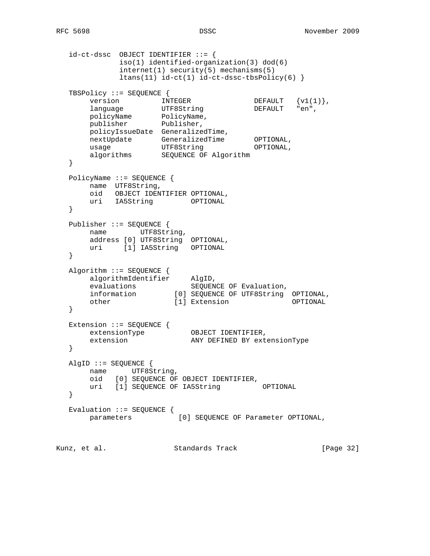```
 id-ct-dssc OBJECT IDENTIFIER ::= {
            iso(1) identified-organization(3) dod(6)
            internet(1) security(5) mechanisms(5)
            ltans(11) id-ct(1) id-ct-dssc-tbsPolicy(6) }
   TBSPolicy ::= SEQUENCE {
version \text{INTERER} DEFAULT \{v1(1)\}\,,
language UTF8String DEFAULT "en",
 policyName PolicyName,
 publisher Publisher,
 policyIssueDate GeneralizedTime,
 nextUpdate GeneralizedTime OPTIONAL,
usage CTF8String OPTIONAL,
 algorithms SEQUENCE OF Algorithm
   }
   PolicyName ::= SEQUENCE {
      name UTF8String,
      oid OBJECT IDENTIFIER OPTIONAL,
       uri IA5String OPTIONAL
   }
   Publisher ::= SEQUENCE {
      name UTF8String,
 address [0] UTF8String OPTIONAL,
 uri [1] IA5String OPTIONAL
   }
   Algorithm ::= SEQUENCE {
 algorithmIdentifier AlgID,
evaluations SEQUENCE OF Evaluation,
 information [0] SEQUENCE OF UTF8String OPTIONAL,
 other [1] Extension OPTIONAL
   }
 Extension ::= SEQUENCE {
extensionType OBJECT IDENTIFIER,
 extension ANY DEFINED BY extensionType
   }
   AlgID ::= SEQUENCE {
       name UTF8String,
       oid [0] SEQUENCE OF OBJECT IDENTIFIER,
      uri [1] SEQUENCE OF IA5String OPTIONAL
   }
  Evaluation ::= SEQUENCE \{ parameters [0] SEQUENCE OF Parameter OPTIONAL,
Kunz, et al. Standards Track [Page 32]
```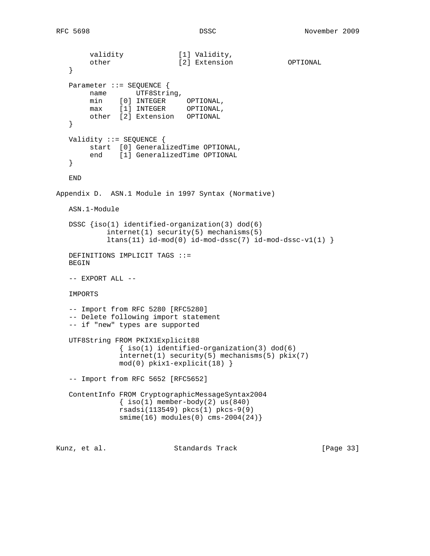```
validity [1] Validity,
 other [2] Extension OPTIONAL
   }
  Parameter ::= SEQUENCE {
      name UTF8String,
 min [0] INTEGER OPTIONAL,
 max [1] INTEGER OPTIONAL,
        other [2] Extension OPTIONAL
   }
   Validity ::= SEQUENCE {
        start [0] GeneralizedTime OPTIONAL,
       end [1] GeneralizedTime OPTIONAL
   }
   END
Appendix D. ASN.1 Module in 1997 Syntax (Normative)
   ASN.1-Module
   DSSC {iso(1) identified-organization(3) dod(6)
            internet(1) security(5) mechanisms(5)
           ltans(11) id-mod(0) id-mod-dssc(7) id-mod-dssc-v1(1) DEFINITIONS IMPLICIT TAGS ::=
   BEGIN
   -- EXPORT ALL --
   IMPORTS
   -- Import from RFC 5280 [RFC5280]
   -- Delete following import statement
   -- if "new" types are supported
   UTF8String FROM PKIX1Explicit88
              \{ iso(1) <i>identified-organization(3) <math> dod(6)</math> internet(1) security(5) mechanisms(5) pkix(7)
              mod(0) pkix1-explicit(18) }
   -- Import from RFC 5652 [RFC5652]
   ContentInfo FROM CryptographicMessageSyntax2004
              \{ iso(1) member-body(2) us(840) rsadsi(113549) pkcs(1) pkcs-9(9)
              smime(16) modules(0) cms-2004(24)}
Kunz, et al. Standards Track [Page 33]
```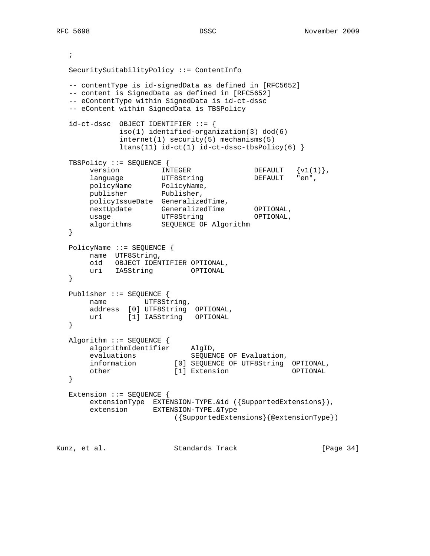```
 ;
   SecuritySuitabilityPolicy ::= ContentInfo
   -- contentType is id-signedData as defined in [RFC5652]
   -- content is SignedData as defined in [RFC5652]
   -- eContentType within SignedData is id-ct-dssc
   -- eContent within SignedData is TBSPolicy
   id-ct-dssc OBJECT IDENTIFIER ::= {
             iso(1) identified-organization(3) dod(6)
              internet(1) security(5) mechanisms(5)
            ltans(11) id-ct(1) id-ct-dssc-tbsPolicy(6) TBSPolicy ::= SEQUENCE {
version \text{INTERER} DEFAULT \{v1(1)\}\,,
language UTF8String DEFAULT "en",
 policyName PolicyName,
 publisher Publisher,
       policyIssueDate GeneralizedTime,
 nextUpdate GeneralizedTime OPTIONAL,
usage CTF8String OPTIONAL,
      algorithms SEQUENCE OF Algorithm
   }
   PolicyName ::= SEQUENCE {
       name UTF8String,
       oid OBJECT IDENTIFIER OPTIONAL,
       uri IA5String OPTIONAL
   }
   Publisher ::= SEQUENCE {
      name UTF8String,
       address [0] UTF8String OPTIONAL,
       uri [1] IA5String OPTIONAL
   }
   Algorithm ::= SEQUENCE {
      algorithmIdentifier AlgID,<br>evaluations crown
evaluations SEQUENCE OF Evaluation,
 information [0] SEQUENCE OF UTF8String OPTIONAL,
 other [1] Extension OPTIONAL
   }
   Extension ::= SEQUENCE {
       extensionType EXTENSION-TYPE.&id ({SupportedExtensions}),
       extension EXTENSION-TYPE.&Type
                         ({SupportedExtensions}{@extensionType})
Kunz, et al. Standards Track [Page 34]
```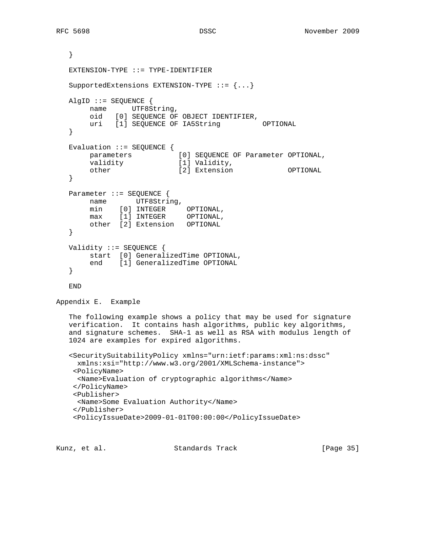```
 }
    EXTENSION-TYPE ::= TYPE-IDENTIFIER
    SupportedExtensions EXTENSION-TYPE ::= {...}
   AlgID ::= SEQUENCE {
        name UTF8String,
        oid [0] SEQUENCE OF OBJECT IDENTIFIER,
       uri [1] SEQUENCE OF IA5String OPTIONAL
    }
    Evaluation ::= SEQUENCE {
                             [0] SEQUENCE OF Parameter OPTIONAL,
       parameters [0] SEQUENCE (validity [1] Validity,<br>the fill Validity,
        other [2] Extension OPTIONAL
    }
   Parameter ::= SEQUENCE {
       name UTF8String,
        min [0] INTEGER OPTIONAL,
        max [1] INTEGER OPTIONAL,
        other [2] Extension OPTIONAL
    }
   Validity ::= SEQUENCE {
        start [0] GeneralizedTime OPTIONAL,
        end [1] GeneralizedTime OPTIONAL
    }
    END
Appendix E. Example
    The following example shows a policy that may be used for signature
    verification. It contains hash algorithms, public key algorithms,
    and signature schemes. SHA-1 as well as RSA with modulus length of
    1024 are examples for expired algorithms.
    <SecuritySuitabilityPolicy xmlns="urn:ietf:params:xml:ns:dssc"
     xmlns:xsi="http://www.w3.org/2001/XMLSchema-instance">
     <PolicyName>
     <Name>Evaluation of cryptographic algorithms</Name>
     </PolicyName>
     <Publisher>
     <Name>Some Evaluation Authority</Name>
     </Publisher>
     <PolicyIssueDate>2009-01-01T00:00:00</PolicyIssueDate>
```
Kunz, et al. Standards Track [Page 35]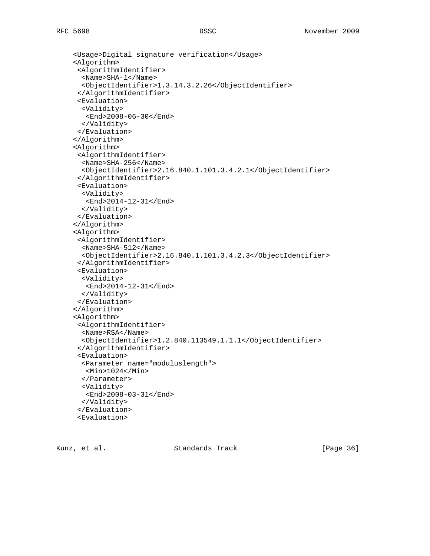```
 <Usage>Digital signature verification</Usage>
 <Algorithm>
  <AlgorithmIdentifier>
   <Name>SHA-1</Name>
   <ObjectIdentifier>1.3.14.3.2.26</ObjectIdentifier>
  </AlgorithmIdentifier>
  <Evaluation>
  <Validity>
    <End>2008-06-30</End>
  </Validity>
  </Evaluation>
 </Algorithm>
 <Algorithm>
  <AlgorithmIdentifier>
   <Name>SHA-256</Name>
   <ObjectIdentifier>2.16.840.1.101.3.4.2.1</ObjectIdentifier>
  </AlgorithmIdentifier>
  <Evaluation>
  <Validity>
    <End>2014-12-31</End>
   </Validity>
  </Evaluation>
 </Algorithm>
 <Algorithm>
  <AlgorithmIdentifier>
   <Name>SHA-512</Name>
   <ObjectIdentifier>2.16.840.1.101.3.4.2.3</ObjectIdentifier>
  </AlgorithmIdentifier>
  <Evaluation>
   <Validity>
   <End>2014-12-31</End>
   </Validity>
  </Evaluation>
 </Algorithm>
 <Algorithm>
  <AlgorithmIdentifier>
   <Name>RSA</Name>
   <ObjectIdentifier>1.2.840.113549.1.1.1</ObjectIdentifier>
  </AlgorithmIdentifier>
  <Evaluation>
   <Parameter name="moduluslength">
   <Min>1024</Min>
   </Parameter>
   <Validity>
   <End>2008-03-31</End>
  </Validity>
  </Evaluation>
  <Evaluation>
```
Kunz, et al. Standards Track [Page 36]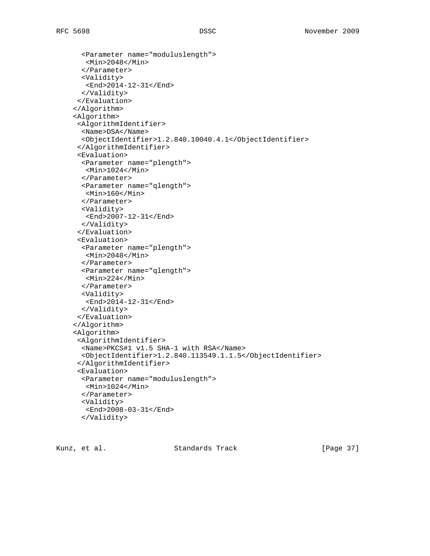```
 <Parameter name="moduluslength">
   <Min>2048</Min>
   </Parameter>
  <Validity>
   <End>2014-12-31</End>
  </Validity>
 </Evaluation>
 </Algorithm>
 <Algorithm>
 <AlgorithmIdentifier>
   <Name>DSA</Name>
   <ObjectIdentifier>1.2.840.10040.4.1</ObjectIdentifier>
 </AlgorithmIdentifier>
 <Evaluation>
   <Parameter name="plength">
   <Min>1024</Min>
   </Parameter>
   <Parameter name="qlength">
   <Min>160</Min>
   </Parameter>
  <Validity>
   <End>2007-12-31</End>
  </Validity>
 </Evaluation>
 <Evaluation>
   <Parameter name="plength">
   <Min>2048</Min>
   </Parameter>
   <Parameter name="qlength">
   <Min>224</Min>
   </Parameter>
  <Validity>
   <End>2014-12-31</End>
  </Validity>
 </Evaluation>
 </Algorithm>
 <Algorithm>
 <AlgorithmIdentifier>
   <Name>PKCS#1 v1.5 SHA-1 with RSA</Name>
  <ObjectIdentifier>1.2.840.113549.1.1.5</ObjectIdentifier>
 </AlgorithmIdentifier>
 <Evaluation>
  <Parameter name="moduluslength">
   <Min>1024</Min>
   </Parameter>
   <Validity>
   <End>2008-03-31</End>
   </Validity>
```
Kunz, et al. Standards Track [Page 37]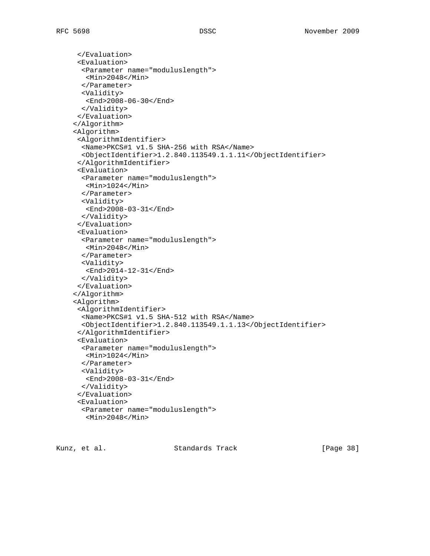```
 </Evaluation>
  <Evaluation>
   <Parameter name="moduluslength">
   <Min>2048</Min>
   </Parameter>
  <Validity>
   <End>2008-06-30</End>
   </Validity>
  </Evaluation>
 </Algorithm>
 <Algorithm>
  <AlgorithmIdentifier>
   <Name>PKCS#1 v1.5 SHA-256 with RSA</Name>
   <ObjectIdentifier>1.2.840.113549.1.1.11</ObjectIdentifier>
  </AlgorithmIdentifier>
  <Evaluation>
   <Parameter name="moduluslength">
   <Min>1024</Min>
   </Parameter>
   <Validity>
   <End>2008-03-31</End>
   </Validity>
  </Evaluation>
  <Evaluation>
   <Parameter name="moduluslength">
   <Min>2048</Min>
   </Parameter>
   <Validity>
   <End>2014-12-31</End>
   </Validity>
  </Evaluation>
 </Algorithm>
 <Algorithm>
 <AlgorithmIdentifier>
   <Name>PKCS#1 v1.5 SHA-512 with RSA</Name>
   <ObjectIdentifier>1.2.840.113549.1.1.13</ObjectIdentifier>
  </AlgorithmIdentifier>
  <Evaluation>
   <Parameter name="moduluslength">
   <Min>1024</Min>
   </Parameter>
   <Validity>
   <End>2008-03-31</End>
   </Validity>
  </Evaluation>
  <Evaluation>
   <Parameter name="moduluslength">
    <Min>2048</Min>
```
Kunz, et al. Standards Track [Page 38]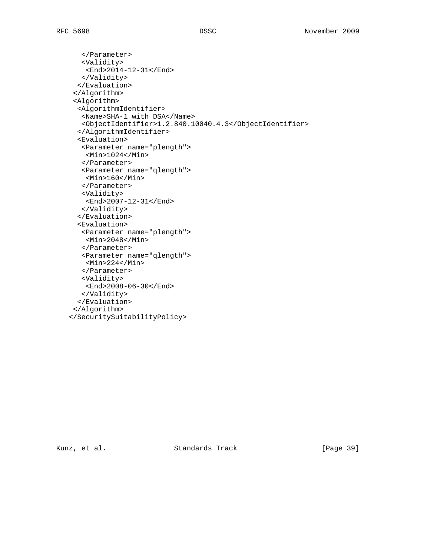```
 </Parameter>
    <Validity>
    <End>2014-12-31</End>
   </Validity>
  </Evaluation>
  </Algorithm>
  <Algorithm>
   <AlgorithmIdentifier>
   <Name>SHA-1 with DSA</Name>
   <ObjectIdentifier>1.2.840.10040.4.3</ObjectIdentifier>
   </AlgorithmIdentifier>
   <Evaluation>
   <Parameter name="plength">
     <Min>1024</Min>
    </Parameter>
   <Parameter name="qlength">
    <Min>160</Min>
    </Parameter>
   <Validity>
    <End>2007-12-31</End>
   </Validity>
   </Evaluation>
   <Evaluation>
   <Parameter name="plength">
    <Min>2048</Min>
    </Parameter>
    <Parameter name="qlength">
    <Min>224</Min>
    </Parameter>
   <Validity>
    <End>2008-06-30</End>
   </Validity>
   </Evaluation>
 </Algorithm>
 </SecuritySuitabilityPolicy>
```
Kunz, et al. Standards Track [Page 39]